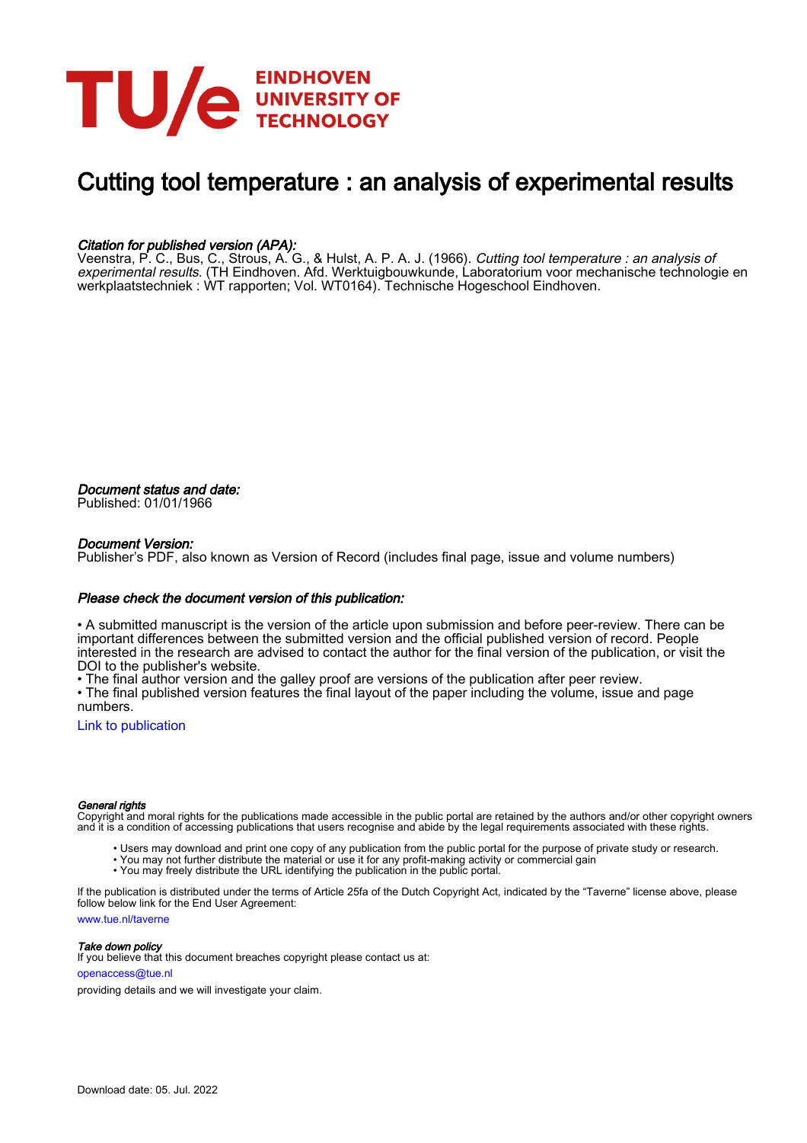

# Cutting tool temperature : an analysis of experimental results

### Citation for published version (APA):

Veenstra, P. C., Bus, C., Strous, A. G., & Hulst, A. P. A. J. (1966). *Cutting tool temperature : an analysis of experimental results*. (TH Eindhoven. Afd. Werktuigbouwkunde, Laboratorium voor mechanische technologie en werkplaatstechniek : WT rapporten; Vol. WT0164). Technische Hogeschool Eindhoven.

Document status and date: Published: 01/01/1966

#### Document Version:

Publisher's PDF, also known as Version of Record (includes final page, issue and volume numbers)

#### Please check the document version of this publication:

• A submitted manuscript is the version of the article upon submission and before peer-review. There can be important differences between the submitted version and the official published version of record. People interested in the research are advised to contact the author for the final version of the publication, or visit the DOI to the publisher's website.

• The final author version and the galley proof are versions of the publication after peer review.

• The final published version features the final layout of the paper including the volume, issue and page numbers.

[Link to publication](https://research.tue.nl/en/publications/8c14c5c3-9d09-4fb3-9249-506d4cac94a4)

#### General rights

Copyright and moral rights for the publications made accessible in the public portal are retained by the authors and/or other copyright owners and it is a condition of accessing publications that users recognise and abide by the legal requirements associated with these rights.

- Users may download and print one copy of any publication from the public portal for the purpose of private study or research.
- You may not further distribute the material or use it for any profit-making activity or commercial gain
- You may freely distribute the URL identifying the publication in the public portal.

If the publication is distributed under the terms of Article 25fa of the Dutch Copyright Act, indicated by the "Taverne" license above, please follow below link for the End User Agreement:

www.tue.nl/taverne

**Take down policy**<br>If you believe that this document breaches copyright please contact us at:

openaccess@tue.nl

providing details and we will investigate your claim.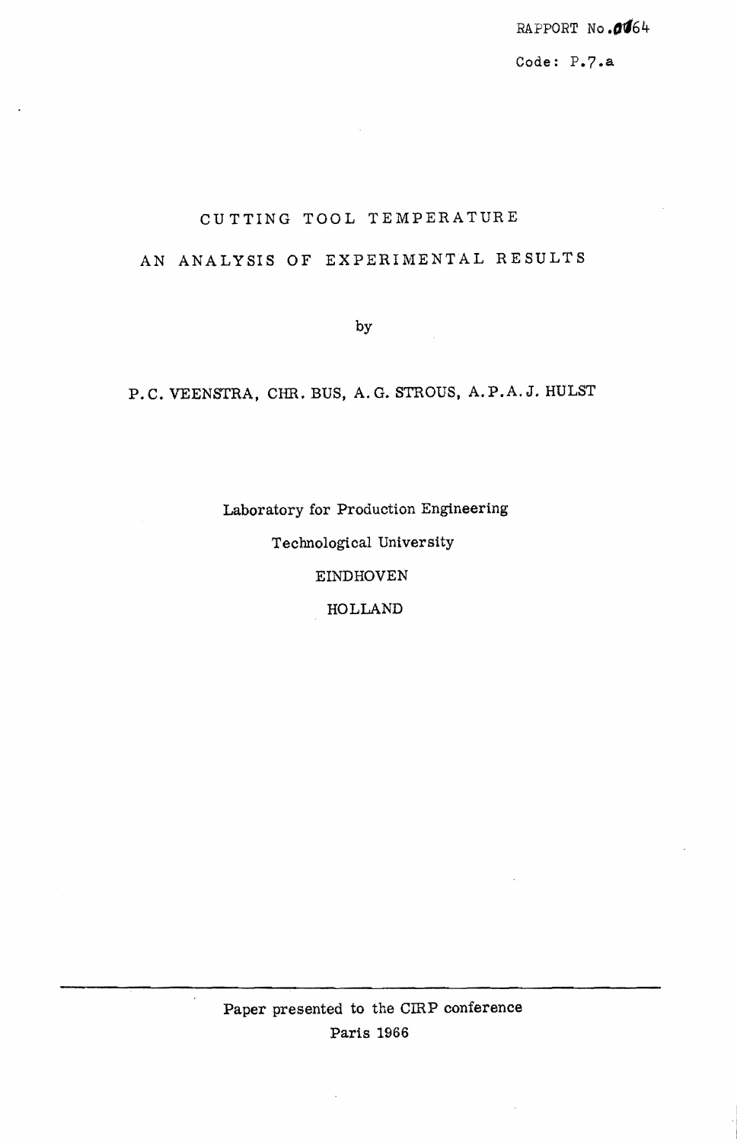*RAPPORT* No *.,'164* 

Code: P.7.&

# CU TTING TOOL TEMPERATURE

# AN ANALYSIS OF EXPERIMENTAL RESULTS

by

# P.C. VEENSTRA, CHR. BUS, A.G. STROUS, A.P.A.J. HULST

Laboratory for Production Engineering Technological University EINDHOVEN HOLLAND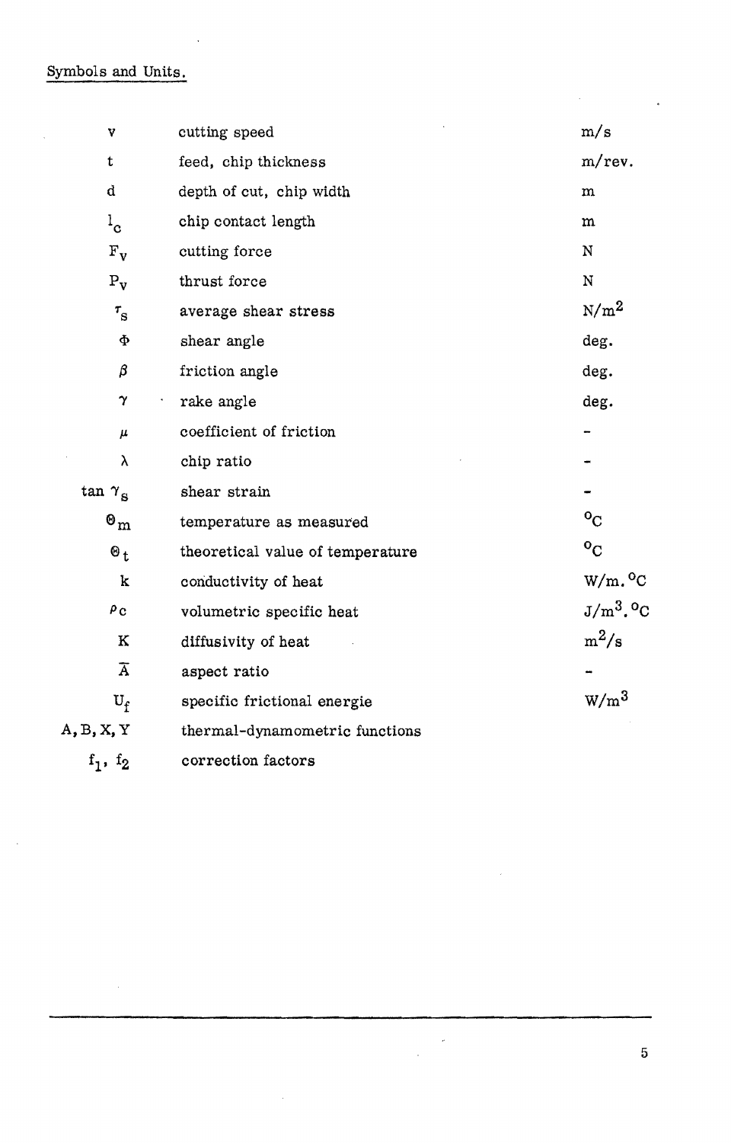Symbols and Units.

 $\bar{\mathcal{A}}$ 

 $\ddot{\phantom{1}}$ 

| V                                  | cutting speed                    | m/s              |  |  |
|------------------------------------|----------------------------------|------------------|--|--|
| t                                  | feed, chip thickness             | m/rev.           |  |  |
| d                                  | depth of cut, chip width         | m                |  |  |
| $1_{\rm c}$                        | chip contact length              | ${\bf m}$        |  |  |
| $F_v$                              | cutting force                    | $\mathbf N$      |  |  |
| $P_{\mathbf{v}}$                   | thrust force                     | $\mathbf N$      |  |  |
| $\tau_{\rm s}$                     | average shear stress             | $N/m^2$          |  |  |
| Ф                                  | shear angle                      | deg.             |  |  |
| β                                  | friction angle                   | deg.             |  |  |
| $\gamma$                           | rake angle                       | deg.             |  |  |
| $\pmb{\mu}$                        | coefficient of friction          |                  |  |  |
| λ                                  | chip ratio                       |                  |  |  |
| $\tan \gamma_{\rm g}$              | shear strain                     |                  |  |  |
| $\boldsymbol{\Theta}_{\mathbf{m}}$ | temperature as measured          | $\overline{O}_C$ |  |  |
| $\mathbf{\Theta}_t$                | theoretical value of temperature | $\rm ^oC$        |  |  |
| k                                  | conductivity of heat             | $W/m.^0C$        |  |  |
| $\rho_{\rm C}$                     | volumetric specific heat         | $J/m^3$ . $^0C$  |  |  |
| $\bf K$                            | diffusivity of heat              | $m^2/s$          |  |  |
| $\overline{\mathrm{A}}$            | aspect ratio                     |                  |  |  |
| $U_f$                              | specific frictional energie      | $W/m^3$          |  |  |
| A, B, X, Y                         | thermal-dynamometric functions   |                  |  |  |
| $\mathbf{r}$<br>$\mathbf{r}$       |                                  |                  |  |  |

f<sub>1</sub>, f<sub>2</sub> correction factors

 $\ddot{\phantom{a}}$ 

5

 $\bar{\nu}$ 

 $\hat{\mathcal{A}}$ 

 $\bar{a}$ 

 $\overline{a}$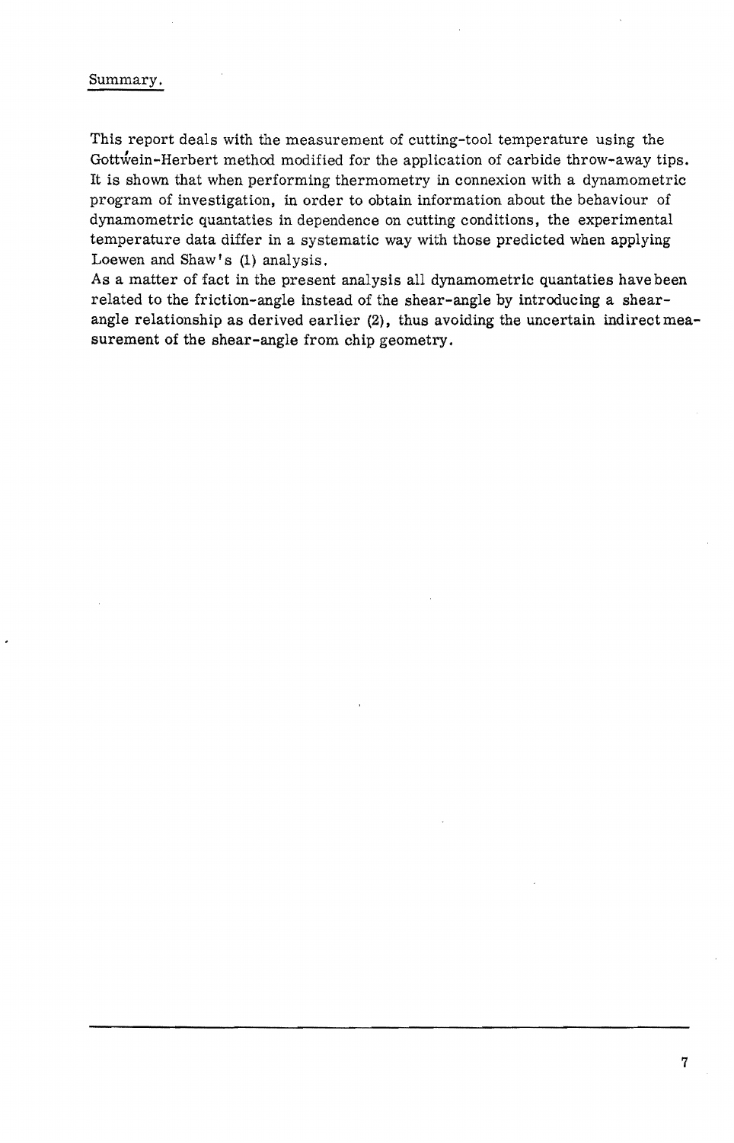### Summary.

This report deals with the measurement of cutting-tool temperature using the Gottwein-Herbert method modified for the application of carbide throw-away tips. It is shown that when performing thermometry in connexion with a dynamometric program of investigation, in order to obtain information about the behaviour of dynamometric quantaties in dependence on cutting conditions, the experimental temperature data differ in a systematic way with those predicted when applying Loewen and Shaw's (1) analysis.

As a matter of fact in the present analysis all dynamometric quantaties have been related to the friction-angle instead of the shear-angle by introducing a shearangle relationship as derived earlier (2), thus avoiding the uncertain indirect measurement of the shear-angle from chip geometry.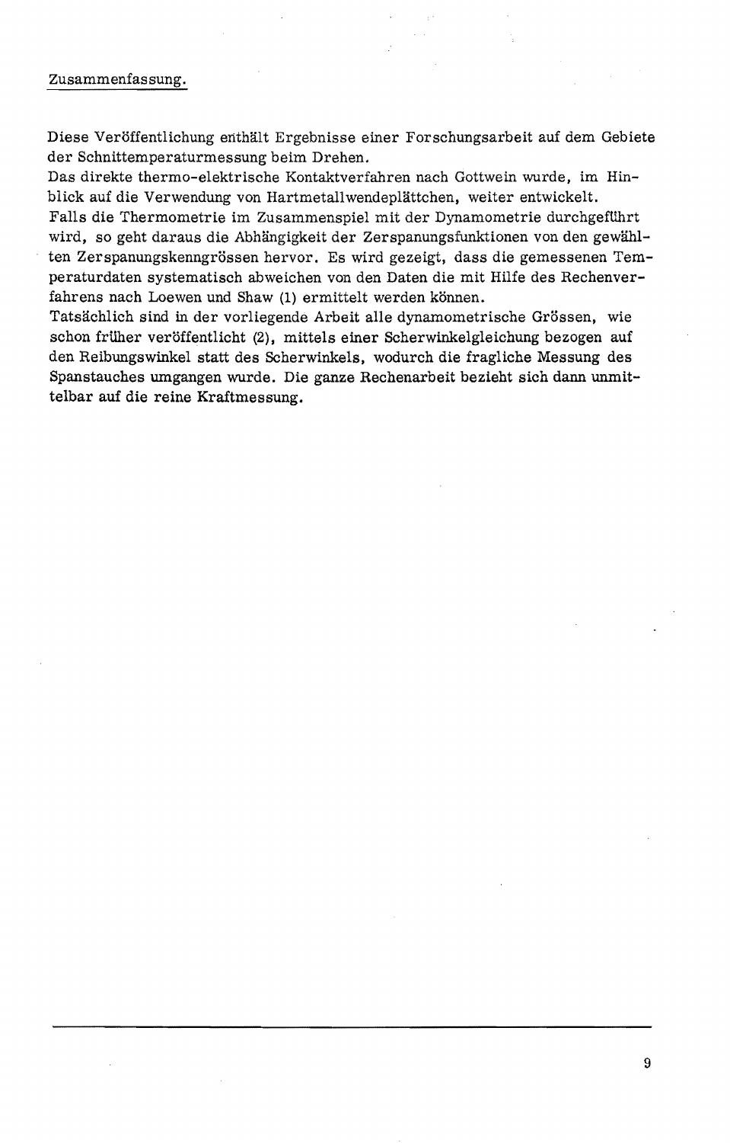#### Zusammenfassung.

Diese Veröffentlichung enthält Ergebnisse einer Forschungsarbeit auf dem Gebiete der Schnittemperaturmessung beim Drehen.

Das direkte thermo-elektrische Kontaktverfahren nach Gottwein wurde, 1m Hinblick auf die Verwendung von Hartmetallwendeplättchen, weiter entwickelt.

Falls die Thermometrie im Zusammenspiel mit der Dynamometrie durchgeführt wird, so geht daraus die Abhängigkeit der Zerspanungsfunktionen von den gewählten Zerspanungskenngrössen hervor. Es wird gezeigt, dass die gemessenen Temperaturdaten systematisch abweichen von den Daten die mit Hilfe des Rechenverfahrens nach Loewen und Shaw (1) ermittelt werden können.

Tatsächlich sind in der vorliegende Arbeit alle dynamometrische Grössen, wie schon früher veröffentlicht (2), mittels einer Scherwinkelgleichung bezogen auf den Reibungswinkel statt des Scherwinkels, wodurch die fragliche Messung des Spanstauehes umgangen wurde. Die ganze Rechenarbeit bezieht sieh dann **unmit**telbar auf die reine Kraftmessung.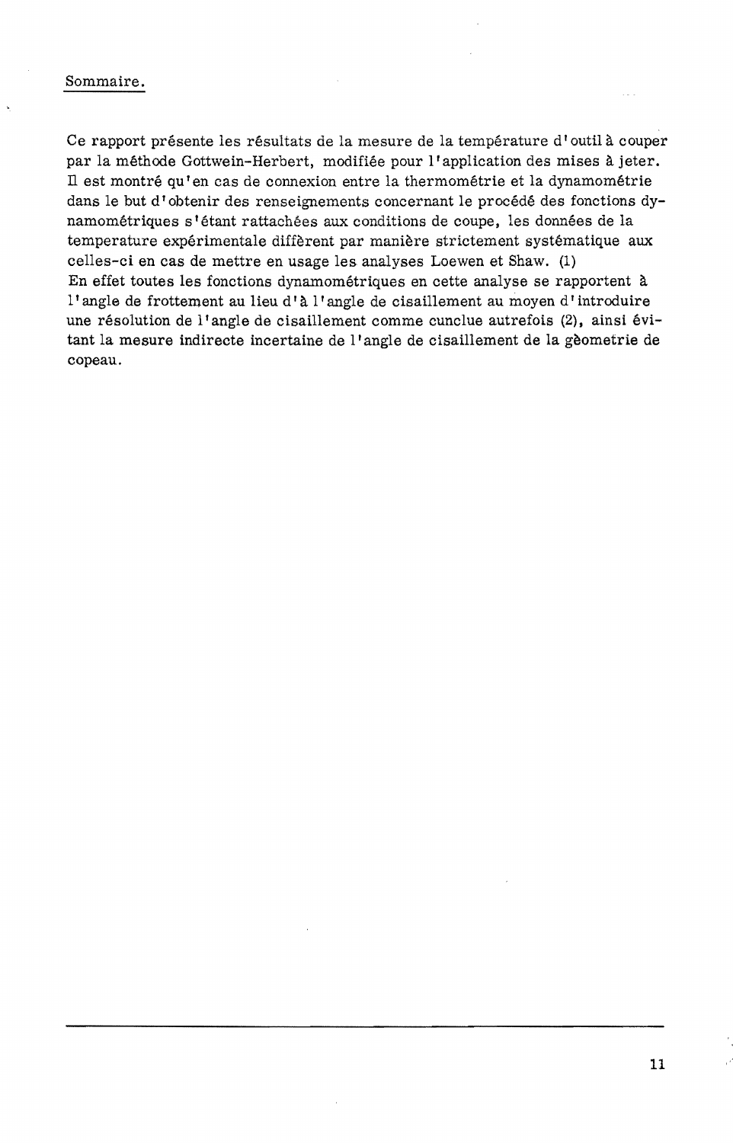### Sommaire.

Ce rapport présente les résultats de la mesure de la température d'outil à couper par la methode Gottwein-Herbert, modifiee pour I' application des mises a jeter. Il est montré qu'en cas de connexion entre la thermométrie et la dynamométrie dans le but d'obtenir des renseignements concernant le procédé des fonctions dynamométriques s'étant rattachées aux conditions de coupe, les données de la temperature experimentale different par maniere strictement systematique aux celles-ci en cas de mettre en usage les analyses Loewen et Shaw. (1) En effet toutes les fonctions dynamometriques en cette analyse se rapportent a l'angle de frottement au lieu d'à l'angle de cisaillement au moyen d'introduire une résolution de l'angle de cisaillement comme cunclue autrefois (2), ainsi évitant la mesure indirecte incertaine de I' angle de cisaillement de la geometrie de copeau.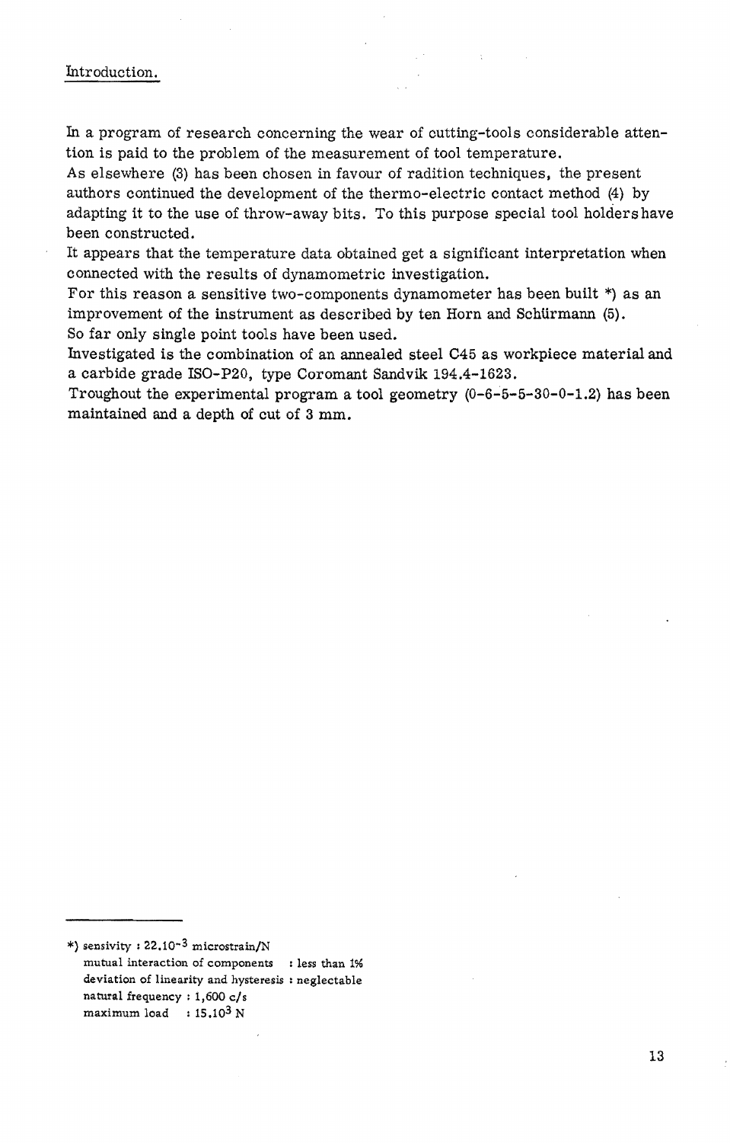### Introduction.

In a program of research concerning the wear of cutting-tools considerable attention is paid to the problem of the measurement of tool temperature.

As elsewhere (3) has been chosen in favour of radition techniques, the present authors continued the development of the thermo-electric contact method (4) by adapting it to the use of throw-away bits. To this purpose special tool holders have been constructed.

It appears that the temperature data obtained get a significant interpretation when connected with the results of dynamometric investigation.

For this reason a sensitive two-components dynamometer has been built \*) as an improvement of the instrument as described by ten Horn and Schürmann (5). So far only single point tools have been used.

Investigated is the combination of an annealed steel C45 as workpiece material and a carbide grade ISO-P20, type Coromant Sandvik 194.4-1623.

Troughout the experimental program a tool geometry  $(0-6-5-5-30-0-1.2)$  has been maintained and a depth of cut of 3 mm.

<sup>\*)</sup> sensivity :  $22.10^{-3}$  microstrain/N mutual interaction of components : less than 1% deviation of linearity and hysteresis : neglectable natural frequency: 1,600 *cIs*  maximum load :  $15.10^3$  N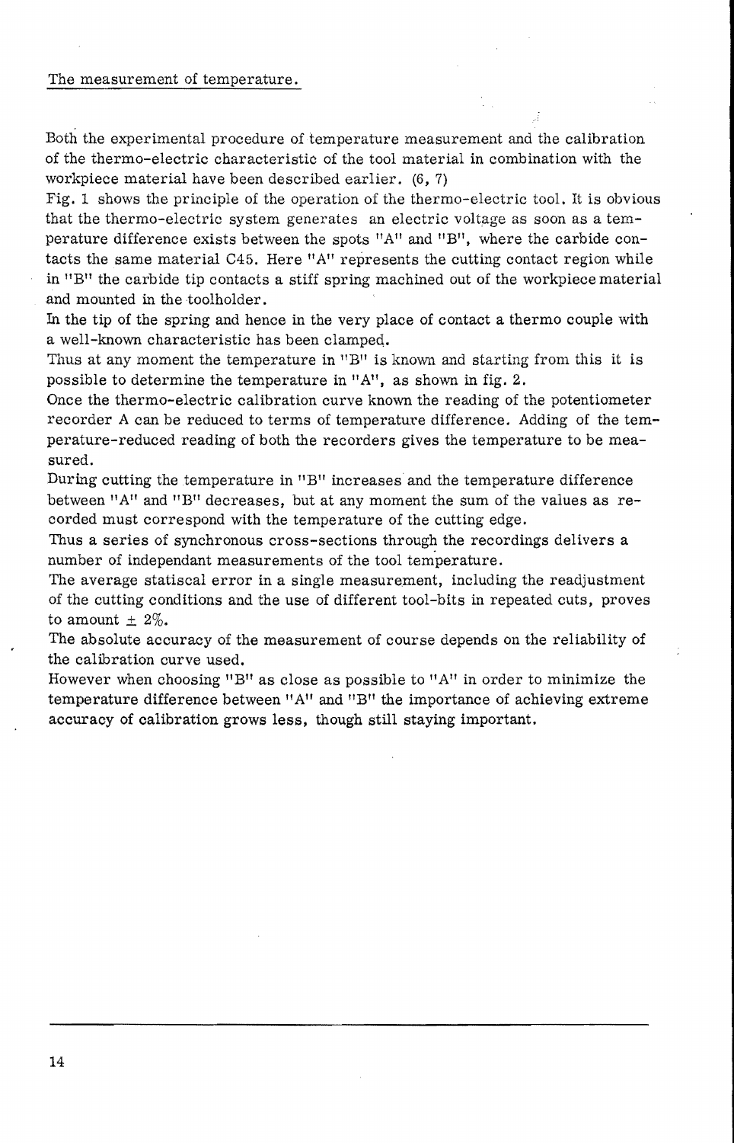#### The measurement of temperature.

Both the experimental procedure of temperature measurement and the calibration of the thermo-electric characteristic of the tool material in combination with the workpiece material have been described earlier.  $(6, 7)$ 

Fig. 1 shows the principle of the operation of the thermo-electric tool. It is obvious that the thermo-electric system generates an electric voltage as soon as a temperature difference exists between the spots "A" and "B", where the carbide contacts the same material C45. Here "A" represents the cutting contact region while in "B" the carbide tip contacts a stiff spring machined out of the workpiece material and mounted in the toolholder .

In the tip of the spring and hence in the very place of contact a thermo couple with a well-known characteristic has been clamped.

Thus at any moment the temperature in  $"B"$  is known and starting from this it is possible to determine the temperature in "A", as shown in fig. 2.

Once the thermo-electric calibration curve known the reading of the potentiometer recorder A can be reduced to terms of temperature difference. Adding of the temperature-reduced reading of both the recorders gives the temperature to be measured.

During cutting the temperature in  $B$ " increases and the temperature difference between "A" and "B" decreases, but at any moment the sum of the values as recorded must correspond with the temperature of the cutting edge.

Thus a series of synchronous cross-sections through the recordings delivers a number of independant measurements of the tool temperature.

The average statiscal error in a single measurement, including the readjustment of the cutting conditions and the use of different tool-bits in repeated cuts, proves to amount  $\pm$  2%.

The absolute accuracy of the measurement of course depends on the reliability of the calibration curve used.

However when choosing "BI! as close as possible to *"A"* in order to minimize the temperature difference between *"A"* and "BII the importance of achieving extreme accuracy of calibration grows less, though still staying important.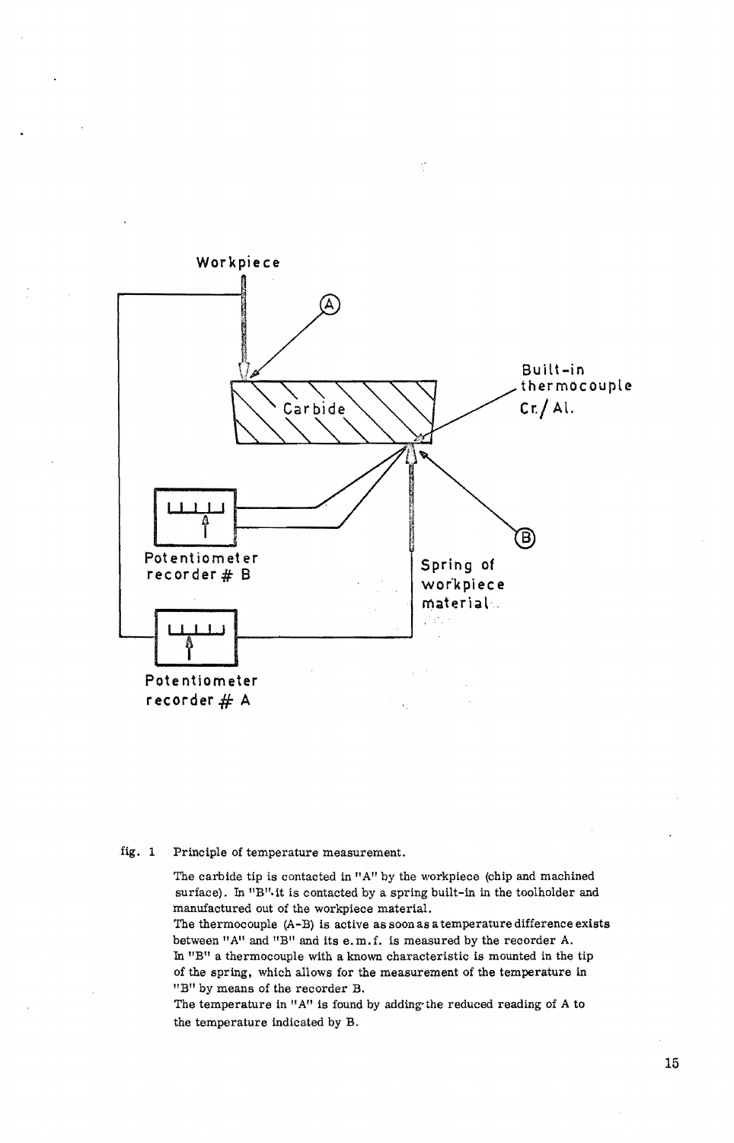

#### fig. 1 Principle of temperature measurement.

The carbide tip is contacted in "A" by the workpiece (chip and machined surface). In "B" it is contacted by a spring built-in in the toolholder and manufaotured out of the workpiece material.

The thermocouple  $(A-B)$  is active as soon as a temperature difference exists between "A" and "B" and its e.m.f. is measured by the recorder A. In "B" a thermocouple with a known characteristic is mounted in the tip of the spring. which allows for the measurement of the temperature in liB" by means of the recorder B.

The temperature in "A" is found by adding-the reduced reading of A to the temperature indicated by B.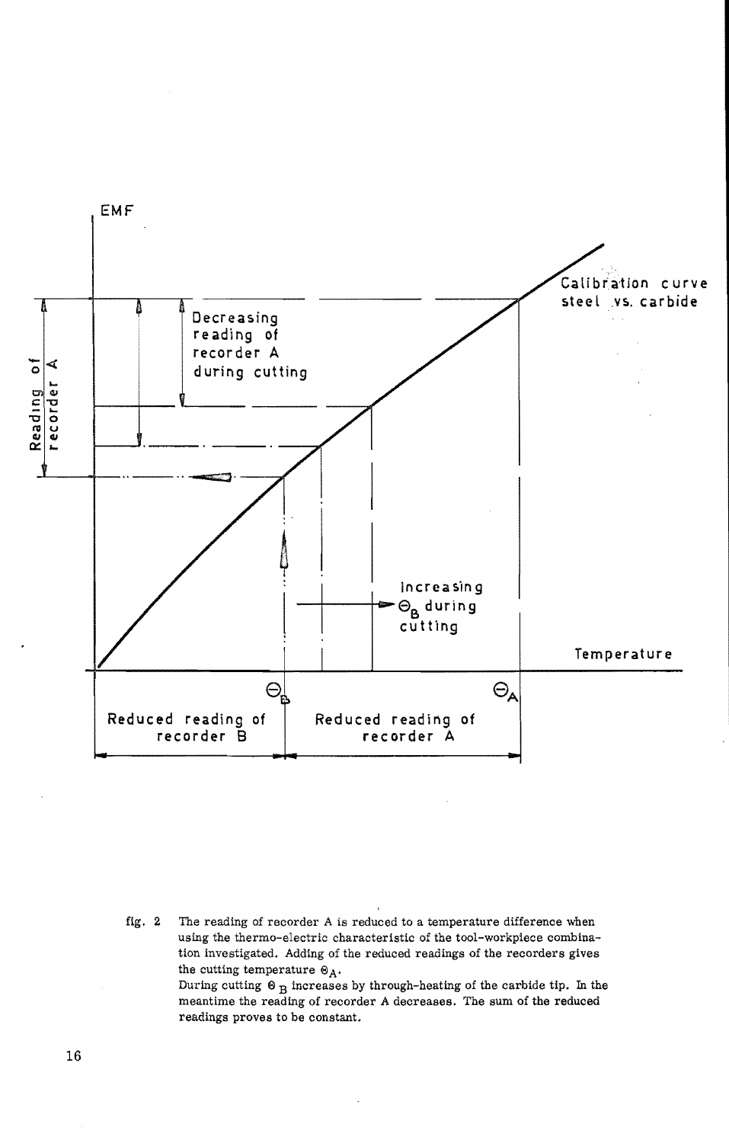

fig.  $2$ The reading of recorder A is reduced to a temperature difference when using the thermo-electric characteristic of the tool-workpiece combination investigated. Adding of the reduced readings of the recorders gives the cutting temperature  $\Theta_A$ . During cutting  $\Theta_{\rm R}$  increases by through-heating of the carbide tip. In the

meantime the reading of recorder A decreases. The sum of the reduced readings proves to be constant.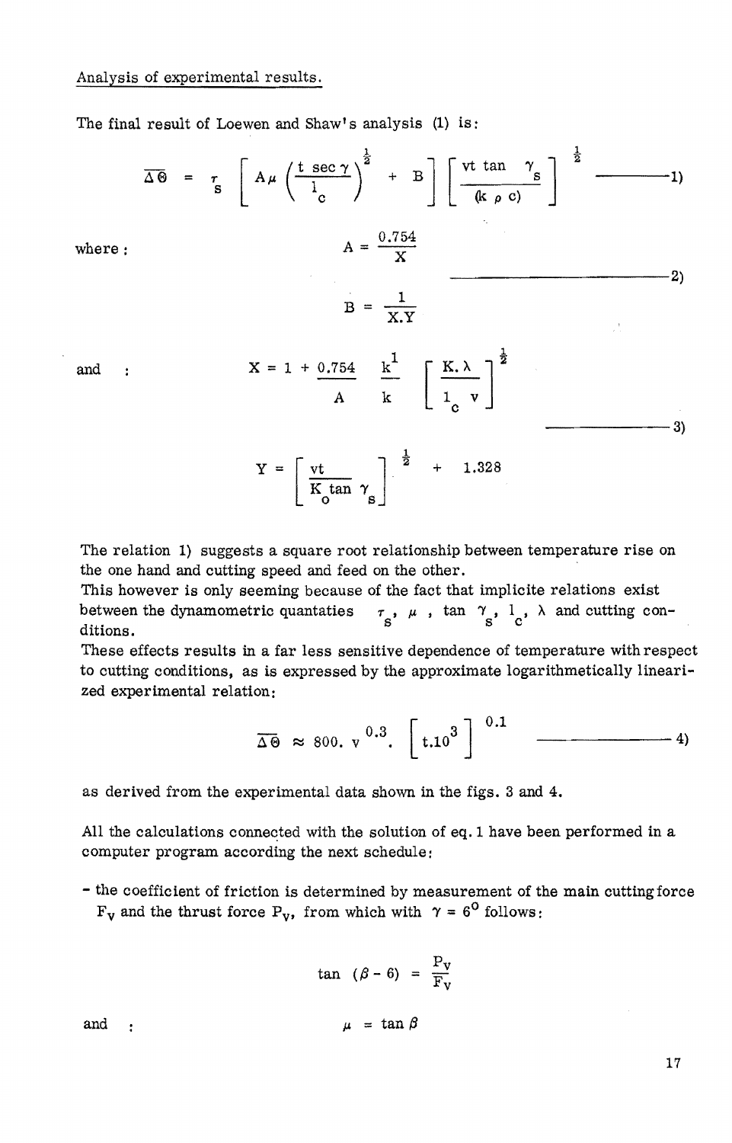The final result of Loewen and Shaw's analysis (1) is:

$$
\overline{\Delta \Theta} = \tau_{\text{S}} \left[ A \mu \left( \frac{\text{t} \sec \gamma}{l_{\text{c}}} \right)^{\frac{1}{2}} + B \right] \left[ \frac{\text{vt} \tan \gamma_{\text{S}}}{(k \rho \text{ c})} \right]^{\frac{1}{2}} \longrightarrow 1)
$$
\n
$$
A = \frac{0.754}{X}
$$
\nand :  $X = 1 + \frac{0.754}{A} \frac{k^1}{k} \left[ \frac{K \lambda}{l_{\text{c}}} \right]^{\frac{1}{2}}$ \n
$$
Y = \left[ \frac{\text{vt}}{K_0 \tan \gamma_{\text{S}}} \right]^{\frac{1}{2}} + 1.328 \longrightarrow 3)
$$

The relation 1) suggests a square root relationship between temperature rise on the one hand and cutting speed and feed on the other.

This however is only seeming because of the fact that implicite relations exist between the dynamometric quantaties  $\tau_{\mu}$ ,  $\mu$ ,  $\tan \tau_{\mu}$ ,  $1$ ,  $\lambda$  and cutting conditions. The contract of state is stated as  $\mathbf{s}$  is the state in  $\mathbf{s}$  is the state of  $\mathbf{s}$  is the state of  $\mathbf{s}$  is the state of  $\mathbf{s}$  is the state of  $\mathbf{s}$  is the state of  $\mathbf{s}$  is the state of  $\mathbf{s}$  is

These effects results in a far less sensitive dependence of temperature with respect to cutting conditions, as is expressed by the approximate logarithmetically linearized experimental relation:

$$
\overline{\Delta \Theta} \approx 800. \text{ v}^{0.3}. \left[ \text{t.10}^{3} \right]^{0.1} \quad \overline{\text{---}} \quad 4)
$$

as derived from the experimental data shown in the figs. 3 and 4.

All the calculations connected with the solution of eq. 1 have been performed in a computer program according the next schedule:

- the coefficient of friction is determined by measurement of the main cutting force  $F_v$  and the thrust force P<sub>v</sub>, from which with  $\gamma = 6^{\circ}$  follows:

$$
\tan (\beta - 6) = \frac{P_V}{F_V}
$$
  
and  

$$
\mu = \tan \beta
$$

17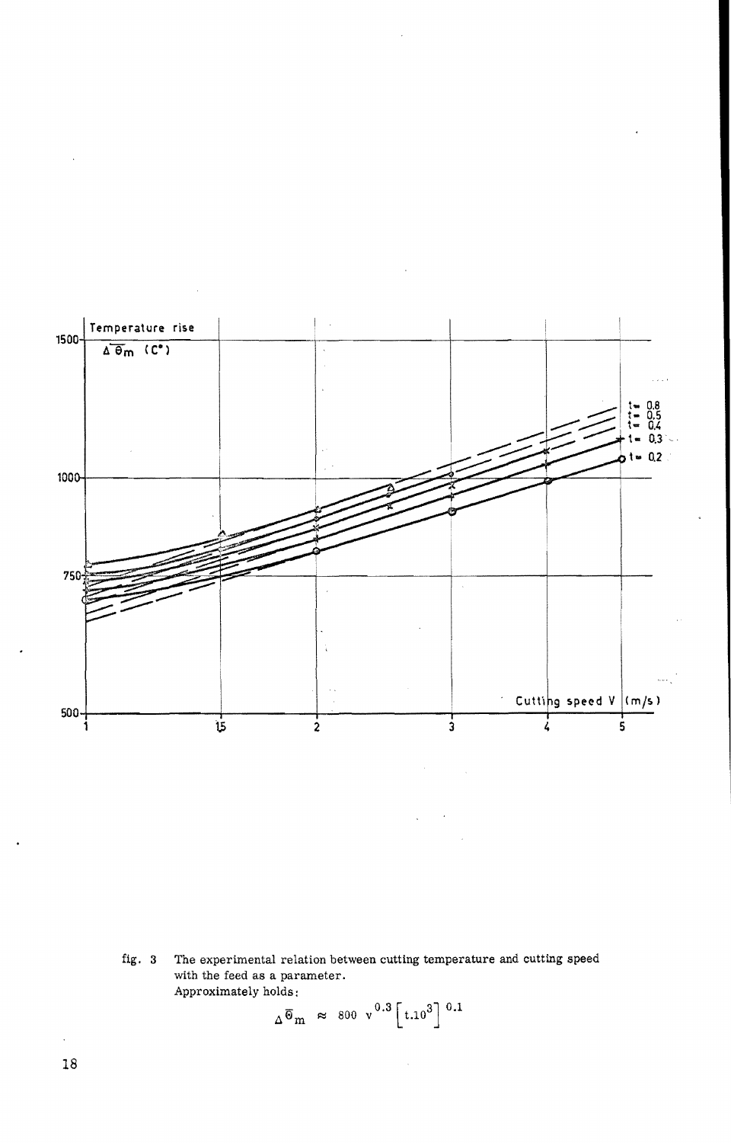

The experimental relation between cutting temperature and cutting speed fig. 3 with the feed as a parameter. Approximately holds:

$$
\Delta \overline{\Theta}_{\text{m}} \approx 800 \text{ v}^{0.3} \left[ \text{t.10}^3 \right]^{0.1}
$$

 $18\,$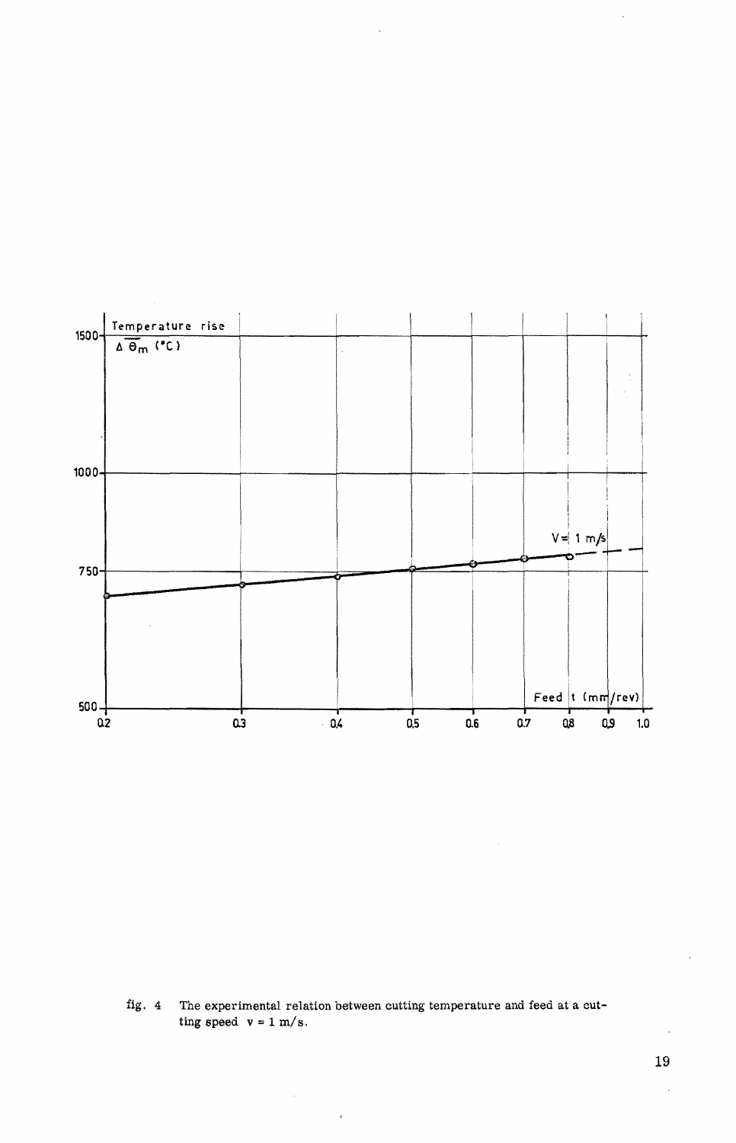

The experimental relation between cutting temperature and feed at a cutfig. 4 ting speed  $v = 1$  m/s.

 $\overline{1}$ 

 $\langle \rangle$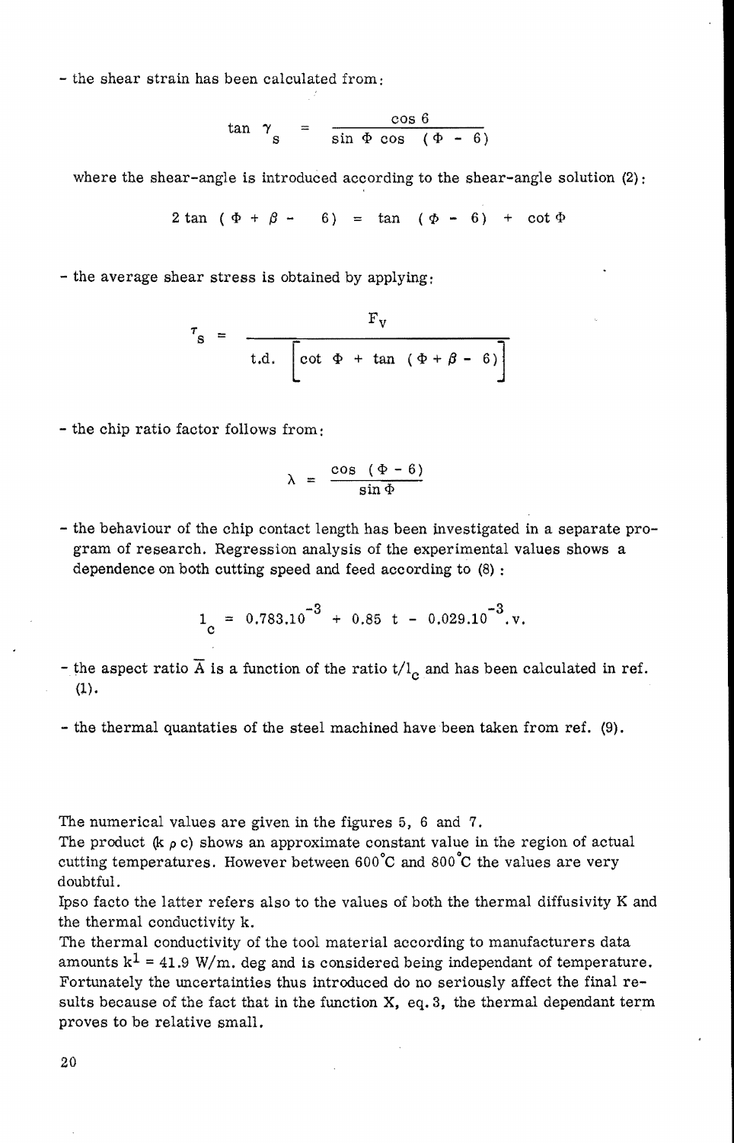- the shear strain has been calculated from:

$$
\tan \gamma_{\rm s} = \frac{\cos 6}{\sin \Phi \cos (\Phi - 6)}
$$

where the shear-angle is introduced according to the shear-angle solution (2):

$$
2 \tan (\Phi + \beta - 6) = \tan (\Phi - 6) + \cot \Phi
$$

- the average shear stress is obtained by applying:

$$
\tau_{\rm S} = \frac{\rm F_{V}}{\rm t.d.} \left[ \cot \Phi + \tan (\Phi + \beta - 6) \right]
$$

- the chip ratio factor follows from:

$$
\lambda = \frac{\cos (\Phi - 6)}{\sin \Phi}
$$

- the behaviour of the chip contact length has been investigated in a separate program of research. Regression analysis of the experimental values shows a dependence on both cutting speed and feed according to (8) :

$$
1_{\rm c} = 0.783.10^{-3} + 0.85 \text{ t} - 0.029.10^{-3} \text{ v}.
$$

- the aspect ratio  $\overline{A}$  is a function of the ratio t/l<sub>c</sub> and has been calculated in ref.  $(1).$
- the thermal quantaties of the steel machined have been taken from ref. (9).

The numerical values are given in the figures 5, 6 and 7.

The product  $(k \rho c)$  shows an approximate constant value in the region of actual cutting temperatures. However between  $600^{\circ}$ C and  $800^{\circ}$ C the values are very doubtful.

Ipso facto the latter refers also to the values of both the thermal diffusivity K and the thermal conductivity k.

The thermal conductivity of the tool material according to manufacturers data amounts  $k^1 = 41.9$  W/m. deg and is considered being independant of temperature. Fortunately the uncertainties thus introduced do no seriously affect the final results because of the fact that in the function **X,** eq.3, the thermal dependant term proves to be relative small.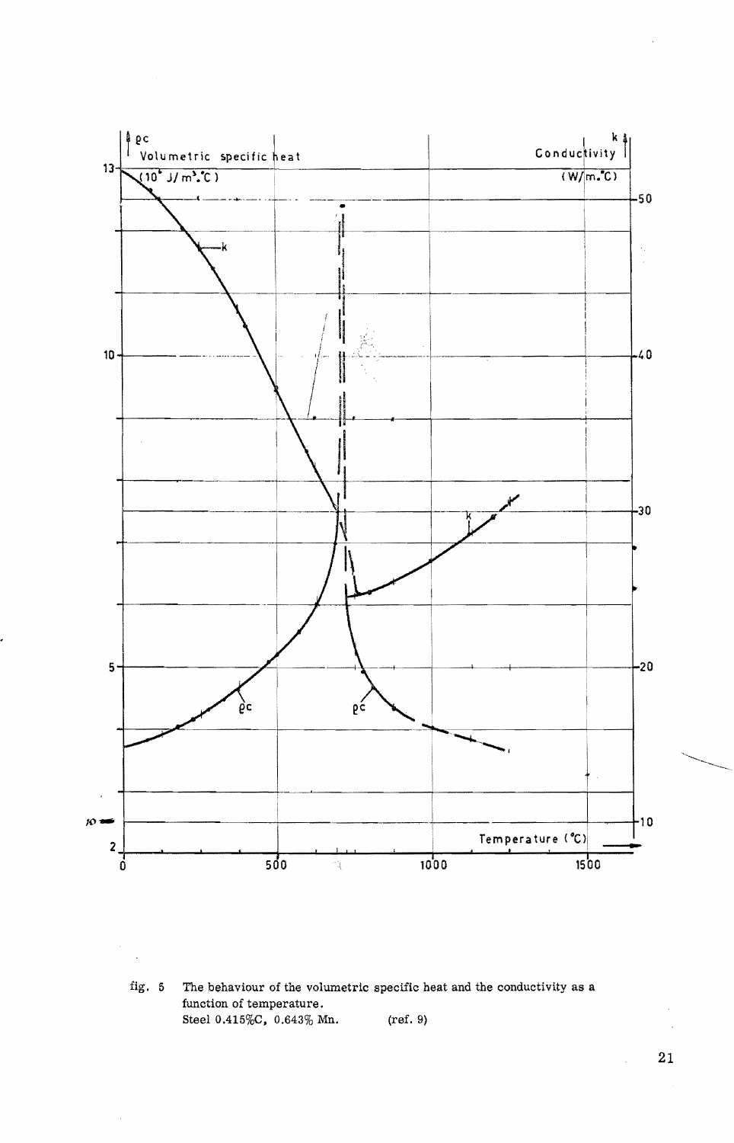

fig. 5 The behaviour of the volumetric specific heat and the conductivity as a function of temperature. Steel 0.415%C, 0.643% Mn. (ref. 9)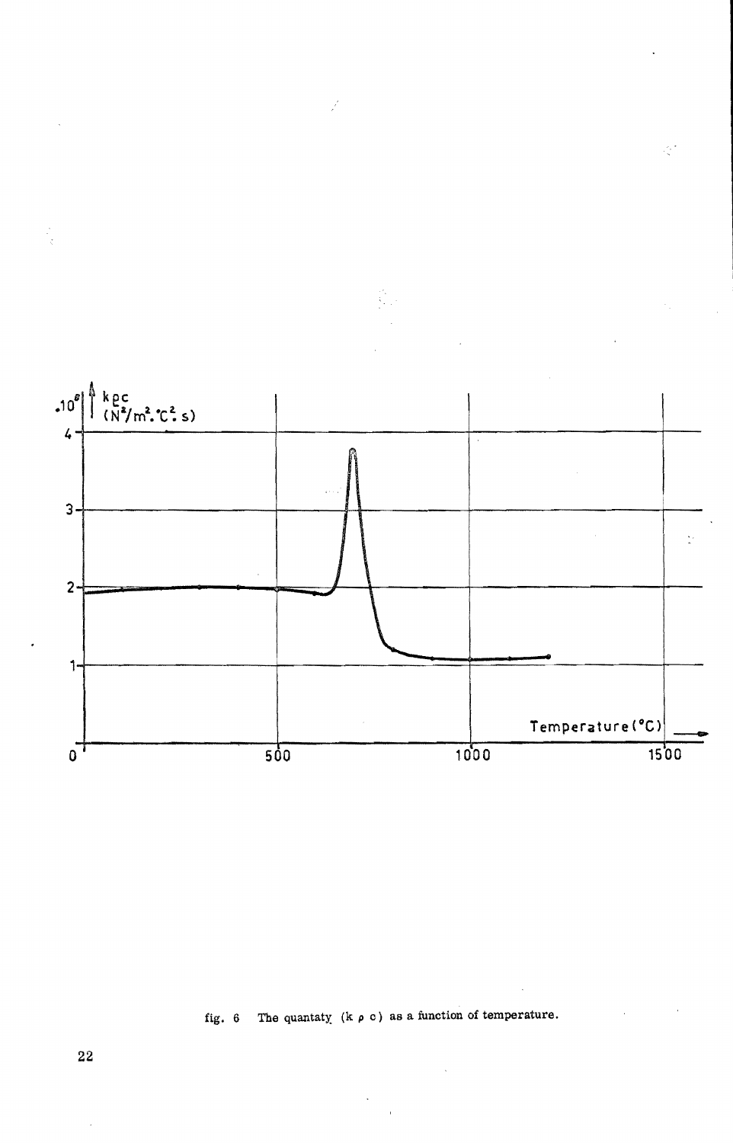

Ť,

Ą

# fig. 6 The quantaty (k  $\rho$  c) as a function of temperature.

22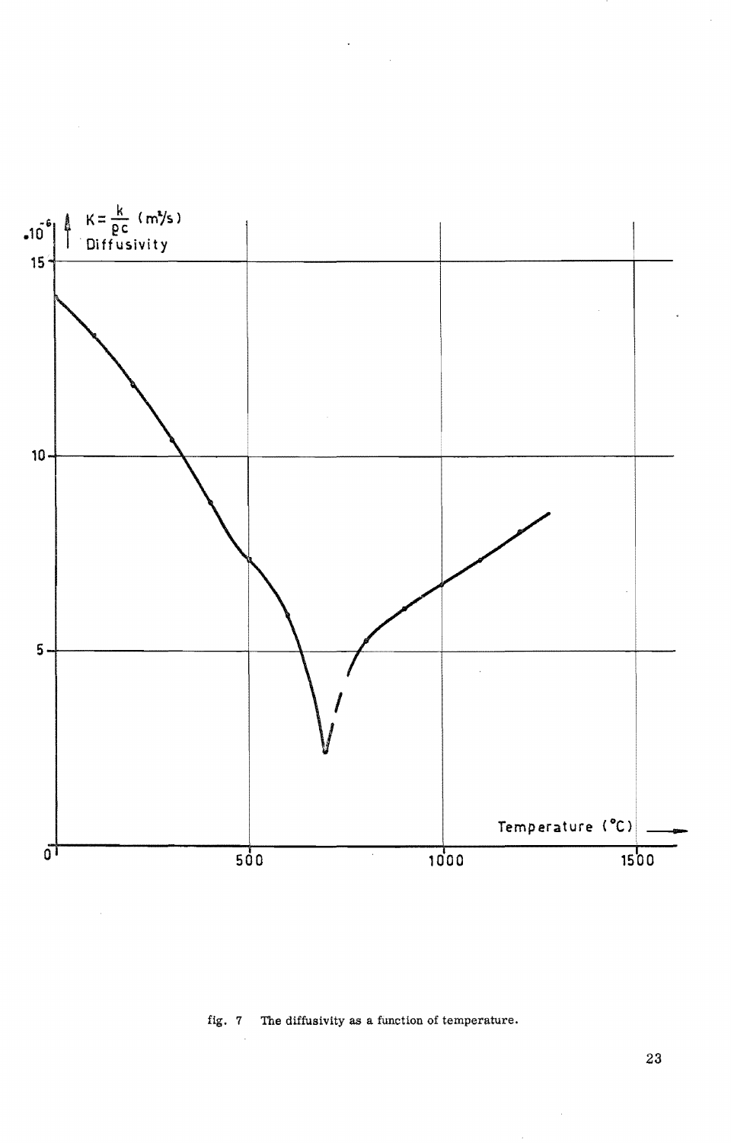

## fig. 7 The diffusivity as a function of temperature.

23

 $\bar{z}$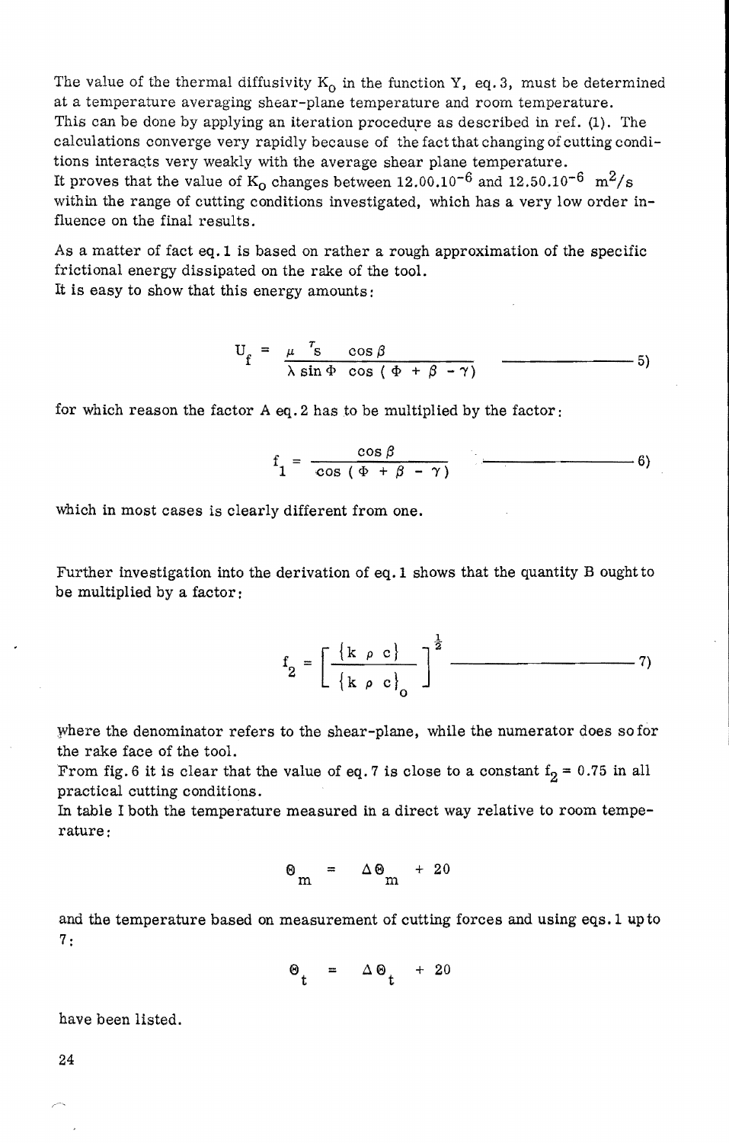The value of the thermal diffusivity  $K_0$  in the function Y, eq.3, must be determined at a temperature averaging shear-plane temperature and room temperature. This can be done by applying an iteration procedure as described in ref.  $(1)$ . The calculations converge very rapidly because of the fact that changing of cutting conditions interacts very weakly with the average shear plane temperature. It proves that the value of  $K_0$  changes between 12.00.10<sup>-6</sup> and 12.50.10<sup>-6</sup>  $m^2/s$ within the range of cutting conditions investigated, which has a very low order influence on the final results.

As a matter of fact eq. 1 is based on rather a rough approximation of the specific frictional energy dissipated on the rake of the tool. It is easy to show that this energy amounts:

$$
U_f = \frac{\mu}{\lambda \sin \Phi} \frac{r_S}{\cos (\Phi + \beta - \gamma)} \qquad \qquad \boxed{\qquad \qquad }
$$

for which reason the factor A eq. 2 has to be multiplied by the factor:

$$
f_1 = \frac{\cos \beta}{\cos (\Phi + \beta - \gamma)}
$$
 (6)

which in most cases is clearly different from one.

Further investigation into the derivation of eq. 1 shows that the quantity B ought to be multiplied by a factor:

> f = [ {k *p* c} J! -------7)  $2 \lfloor k \rho c \rfloor$ o

where the denominator refers to the shear-plane, while the numerator does so for the rake face of the tool.

From fig. 6 it is clear that the value of eq. 7 is close to a constant  $f_2 = 0.75$  in all practical cutting conditions.

In table I both the temperature measured in a direct way relative to room temperature:

$$
\Theta_{m} = \Delta \Theta_{m} + 20
$$

and the temperature based on measurement of cutting forces and using eqs. 1 up to 7:

$$
\Theta_t = \Delta \Theta_t + 20
$$

have been listed.

24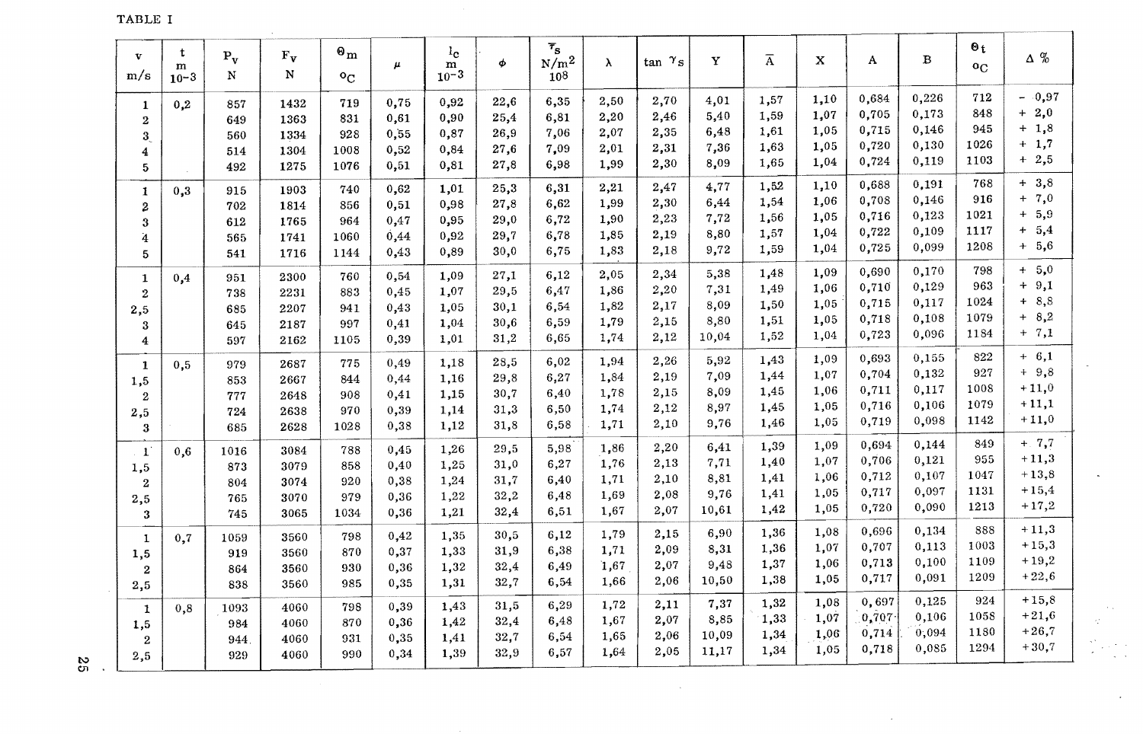TABLE I

| $\mathbf{v}$<br>m/s | t<br>m<br>$10 - 3$ | $P_v$<br>N | $\mathbf{F}_{\mathbf{V}}$<br>N | $\mathbf{e}_{\mathbf{m}}$<br>$\rm ^oC$ | $\boldsymbol{\mu}$ | 1 <sub>c</sub><br>m<br>$10^{-3}$ | φ    | $\overline{\tau}_{\mathbf{s}}$<br>$\mathrm{N}/\mathrm{m}^2$<br>$10^{8}$ | $\lambda$ | $\tan \gamma_s$ | Y     | $\overline{A}$ | $\bf{X}$ | A     | B     | $\Theta_t$<br>$^{\circ}$ C | $\Delta \%$ |
|---------------------|--------------------|------------|--------------------------------|----------------------------------------|--------------------|----------------------------------|------|-------------------------------------------------------------------------|-----------|-----------------|-------|----------------|----------|-------|-------|----------------------------|-------------|
| 1                   | 0,2                | 857        | 1432                           | 719                                    | 0,75               | 0,92                             | 22,6 | 6,35                                                                    | 2,50      | 2,70            | 4,01  | 1,57           | 1,10     | 0,684 | 0,226 | 712                        | $-0,97$     |
| $\mathbf{2}$        |                    | 649        | 1363                           | 831                                    | 0,61               | 0,90                             | 25,4 | 6,81                                                                    | 2,20      | 2,46            | 5,40  | 1,59           | 1,07     | 0,705 | 0,173 | 848                        | $+2,0$      |
| 3                   |                    | 560        | 1334                           | 928                                    | 0,55               | 0,87                             | 26,9 | 7,06                                                                    | 2,07      | 2,35            | 6,48  | 1,61           | 1,05     | 0,715 | 0,146 | 945                        | $+ 1,8$     |
| 4                   |                    | 514        | 1304                           | 1008                                   | 0,52               | 0,84                             | 27,6 | 7,09                                                                    | 2,01      | 2,31            | 7,36  | 1,63           | 1,05     | 0,720 | 0,130 | 1026                       | $+ 1,7$     |
| 5                   |                    | 492        | 1275                           | 1076                                   | 0,51               | 0,81                             | 27,8 | 6,98                                                                    | 1,99      | 2,30            | 8,09  | 1,65           | 1,04     | 0,724 | 0,119 | 1103                       | $+2,5$      |
| 1                   | 0,3                | 915        | 1903                           | 740                                    | 0,62               | 1,01                             | 25,3 | 6,31                                                                    | 2,21      | 2,47            | 4,77  | 1,52           | 1,10     | 0,688 | 0,191 | 768                        | $+3,8$      |
| 2                   |                    | 702        | 1814                           | 856                                    | 0,51               | 0,98                             | 27,8 | 6,62                                                                    | 1,99      | 2,30            | 6,44  | 1,54           | 1,06     | 0,708 | 0,146 | 916                        | $+ 7,0$     |
| 3                   |                    | 612        | 1765                           | 964                                    | 0,47               | 0,95                             | 29,0 | 6,72                                                                    | 1,90      | 2,23            | 7,72  | 1,56           | 1,05     | 0,716 | 0,123 | 1021                       | $+ 5,9$     |
| 4                   |                    | 565        | 1741                           | 1060                                   | 0,44               | 0,92                             | 29,7 | 6,78                                                                    | 1.85      | 2,19            | 8,80  | 1,57           | 1,04     | 0,722 | 0,109 | 1117                       | $+ 5,4$     |
| 5                   |                    | 541        | 1716                           | 1144                                   | 0,43               | 0,89                             | 30,0 | 6,75                                                                    | 1,83      | 2,18            | 9,72  | 1,59           | 1,04     | 0,725 | 0,099 | 1208                       | $+ 5,6$     |
| $\mathbf{1}$        | 0,4                | 951        | 2300                           | 760                                    | 0,54               | 1,09                             | 27,1 | 6,12                                                                    | 2,05      | 2,34            | 5,38  | 1,48           | 1,09     | 0,690 | 0,170 | 798                        | $+ 5,0$     |
| $\mathbf{2}$        |                    | 738        | 2231                           | 883                                    | 0,45               | 1,07                             | 29,5 | 6,47                                                                    | 1,86      | 2,20            | 7,31  | 1,49           | 1,06     | 0,710 | 0,129 | 963                        | $+9,1$      |
| 2,5                 |                    | 685        | 2207                           | 941                                    | 0,43               | 1,05                             | 30,1 | 6,54                                                                    | 1,82      | 2,17            | 8,09  | 1,50           | 1,05     | 0,715 | 0,117 | 1024                       | $+8,8$      |
| 3                   |                    | 645        | 2187                           | 997                                    | 0,41               | 1,04                             | 30,6 | 6,59                                                                    | 1,79      | 2,15            | 8,80  | 1,51           | 1,05     | 0,718 | 0,108 | 1079                       | $+8,2$      |
| 4                   |                    | 597        | 2162                           | 1105                                   | 0,39               | 1,01                             | 31,2 | 6,65                                                                    | 1,74      | 2,12            | 10,04 | 1,52           | 1,04     | 0,723 | 0,096 | 1184                       | $+ 7,1$     |
| 1                   | 0,5                | 979        | 2687                           | 775                                    | 0,49               | 1.18                             | 28,5 | 6,02                                                                    | 1,94      | 2,26            | 5,92  | 1,43           | 1,09     | 0,693 | 0,155 | 822                        | $+ 6,1$     |
| 1,5                 |                    | 853        | 2667                           | 844                                    | 0,44               | 1,16                             | 29,8 | 6,27                                                                    | 1,84      | 2,19            | 7,09  | 1,44           | 1,07     | 0,704 | 0,132 | 927                        | $+9,8$      |
| $\mathbf{2}$        |                    | 777        | 2648                           | 908                                    | 0,41               | 1,15                             | 30,7 | 6,40                                                                    | 1,78      | 2,15            | 8,09  | 1,45           | 1,06     | 0,711 | 0,117 | 1008                       | $+11,0$     |
| 2,5                 |                    | 724        | 2638                           | 970                                    | 0,39               | 1,14                             | 31,3 | 6,50                                                                    | 1,74      | 2,12            | 8,97  | 1,45           | 1,05     | 0,716 | 0,106 | 1079                       | $+11,1$     |
| 3                   |                    | 685        | 2628                           | 1028                                   | 0,38               | 1,12                             | 31,8 | 6,58                                                                    | 1,71      | 2,10            | 9,76  | 1,46           | 1,05     | 0,719 | 0,098 | 1142                       | $+11,0$     |
| $\mathbf{1}$        | 0,6                | 1016       | 3084                           | 788                                    | 0,45               | 1,26                             | 29,5 | 5,98                                                                    | 1,86      | 2,20            | 6,41  | 1,39           | 1,09     | 0,694 | 0,144 | 849                        | $+ 7,7$     |
| 1,5                 |                    | 873        | 3079                           | 858                                    | 0,40               | 1,25                             | 31,0 | 6,27                                                                    | 1,76      | 2,13            | 7,71  | 1,40           | 1,07     | 0,706 | 0,121 | 955                        | $+11,3$     |
| 2                   |                    | 804        | 3074                           | 920                                    | 0,38               | 1,24                             | 31,7 | 6,40                                                                    | 1,71      | 2,10            | 8,81  | 1,41           | 1,06     | 0,712 | 0,107 | 1047                       | $+13,8$     |
| 2,5                 |                    | 765        | 3070                           | 979                                    | 0,36               | 1,22                             | 32,2 | 6,48                                                                    | 1,69      | 2,08            | 9,76  | 1,41           | 1,05     | 0,717 | 0,097 | 1131                       | $+15,4$     |
| 3                   |                    | 745        | 3065                           | 1034                                   | 0,36               | 1,21                             | 32,4 | 6,51                                                                    | 1.67      | 2,07            | 10,61 | 1,42           | 1,05     | 0,720 | 0,090 | 1213                       | $+17,2$     |
| $\mathbf{1}$        | 0,7                | 1059       | 3560                           | 798                                    | 0,42               | 1,35                             | 30,5 | 6,12                                                                    | 1,79      | 2,15            | 6,90  | 1,36           | 1,08     | 0,696 | 0,134 | 888                        | $+11,3$     |
| 1,5                 |                    | 919        | 3560                           | 870                                    | 0,37               | 1,33                             | 31,9 | 6,38                                                                    | 1,71      | 2,09            | 8,31  | 1,36           | 1,07     | 0.707 | 0,113 | 1003                       | $+15,3$     |
| $\overline{2}$      |                    | 864        | 3560                           | 930                                    | 0,36               | 1,32                             | 32,4 | 6,49                                                                    | 1,67      | 2,07            | 9,48  | 1,37           | 1,06     | 0,713 | 0,100 | 1109                       | $+19,2$     |
| 2,5                 |                    | 838        | 3560                           | 985                                    | 0,35               | 1,31                             | 32,7 | 6,54                                                                    | 1,66      | 2,06            | 10,50 | 1,38           | 1,05     | 0,717 | 0,091 | 1209                       | $+22,6$     |
| 1                   | 0,8                | 1093       | 4060                           | 798                                    | 0,39               | 1,43                             | 31,5 | 6,29                                                                    | 1,72      | 2,11            | 7,37  | 1,32           | 1,08     | 0,697 | 0,125 | 924                        | $+15,8$     |
| 1,5                 |                    | 984        | 4060                           | 870                                    | 0,36               | 1,42                             | 32,4 | 6,48                                                                    | 1,67      | 2,07            | 8,85  | 1,33           | 1,07     | 0,707 | 0,106 | 1058                       | $+21,6$     |
| $\mathbf{2}$        |                    | 944        | 4060                           | 931                                    | 0,35               | 1,41                             | 32,7 | 6,54                                                                    | 1,65      | 2,06            | 10,09 | 1,34           | 1,06     | 0,714 | 0,094 | 1180                       | $+26,7$     |
| 2,5                 |                    | 929        | 4060                           | 990                                    | 0,34               | 1,39                             | 32,9 | 6,57                                                                    | 1,64      | 2,05            | 11,17 | 1,34           | 1,05     | 0,718 | 0,085 | 1294                       | $+30.7$     |

 $\sim$ 

 $\sim$ 

 $\mathfrak{S}$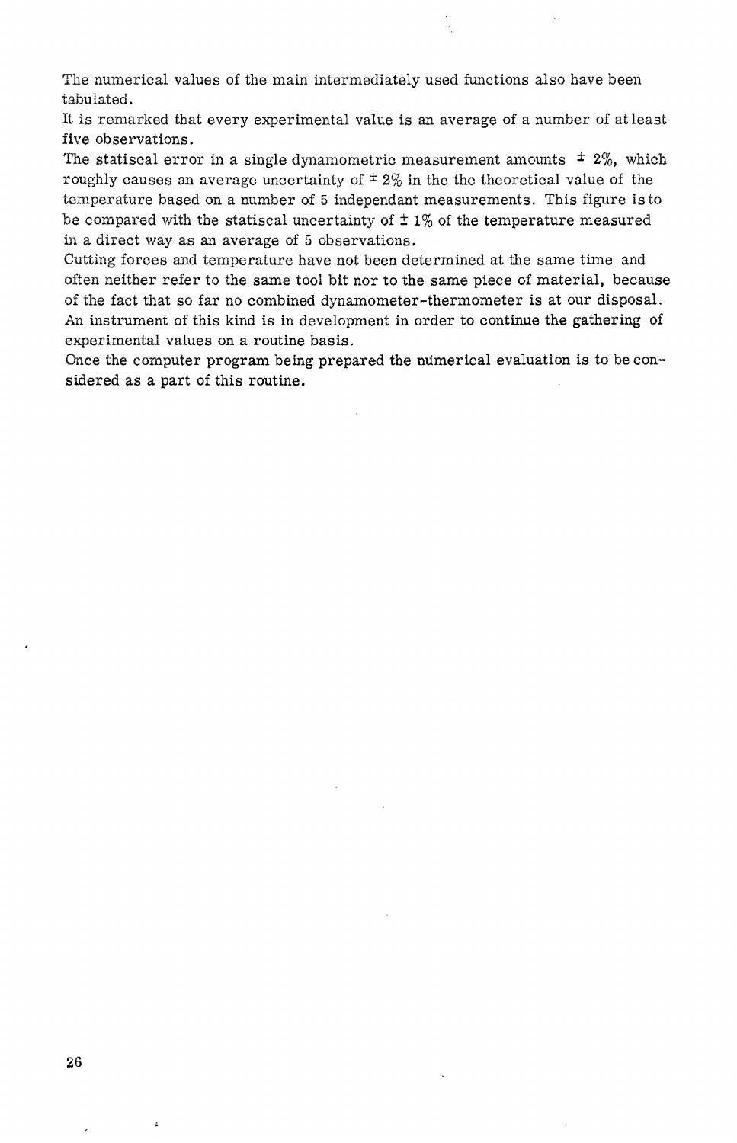The numerical values of the main intermediately used functions also have been tabulated.

It is remarked that every experimental value is an average of a number of at least five observations.

The statiscal error in a single dynamometric measurement amounts  $\pm$  2%, which roughly causes an average uncertainty of  $\pm 2\%$  in the the theoretical value of the temperature based on a number of 5 independant measurements. This figure is to be compared with the statiscal uncertainty of  $\pm 1\%$  of the temperature measured in a direct way as an average of 5 observations.

Cutting forces and temperature have not been determined at the same time and often neither refer to the same tool bit nor to the same piece of material, because of the fact that so far no combined dynamometer-thermometer is at our disposal. An instrument of this kind is in development in order to continue the gathering of experimental values on a routine basis.

Once the computer program being prepared the numerical evaluation is to be considered as a part of this routine.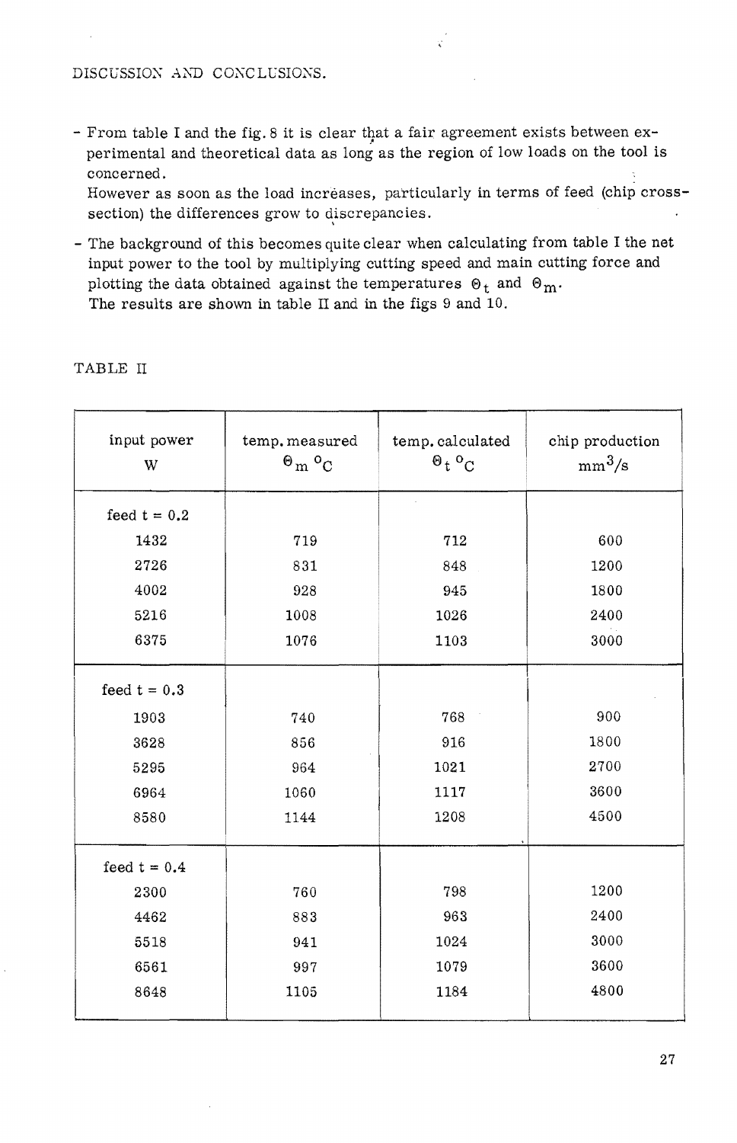### DISCUSSION AND CONCLUSIONS.

- From table I and the fig. 8 it is clear that a fair agreement exists between experimental and theoretical data as long as the region of low loads on the tool is concerned.

However as soon as the load increases, particularly in terms of feed (chip crosssection) the differences grow to discrepancies.

- The background of this becomes quite clear when calculating from table I the net input power to the tool by multiplying cutting speed and main cutting force and plotting the data obtained against the temperatures  $\mathcal{O}_t$  and  $\mathcal{O}_m$ . The results are shown in table II and in the figs 9 and 10.

| input power<br>W | temp. measured<br>$\uptheta_{m}$ $\upsigma_{C}$ | temp.calculated<br>$\mathcal{O}_t$ $\mathcal{O}_C$ | chip production<br>$mm^3/s$ |  |  |
|------------------|-------------------------------------------------|----------------------------------------------------|-----------------------------|--|--|
| feed $t = 0.2$   |                                                 |                                                    |                             |  |  |
| 1432             | 719                                             | 712                                                | 600                         |  |  |
| 2726             | 831                                             | 848                                                | 1200                        |  |  |
| 4002             | 928                                             | 945                                                | 1800                        |  |  |
| 5216             | 1008                                            | 1026                                               | 2400                        |  |  |
| 6375             | 1076                                            | 1103                                               | 3000                        |  |  |
| feed $t = 0.3$   |                                                 |                                                    |                             |  |  |
| 1903             | 740                                             | 768                                                | 900                         |  |  |
| 3628             | 856                                             | 916                                                | 1800                        |  |  |
| 5295             | 964                                             | 1021                                               | 2700                        |  |  |
| 6964             | 1060                                            | 1117                                               | 3600                        |  |  |
| 8580             | 1144                                            | 1208                                               | 4500                        |  |  |
| feed $t = 0.4$   |                                                 |                                                    |                             |  |  |
| 2300             | 760                                             | 798                                                | 1200                        |  |  |
| 4462             | 883                                             | 963                                                | 2400                        |  |  |
| 5518             | 941                                             | 1024                                               | 3000                        |  |  |
| 6561             | 997                                             | 1079                                               | 3600                        |  |  |
| 8648             | 1105                                            | 1184                                               | 4800                        |  |  |
|                  |                                                 |                                                    |                             |  |  |

# TABLE II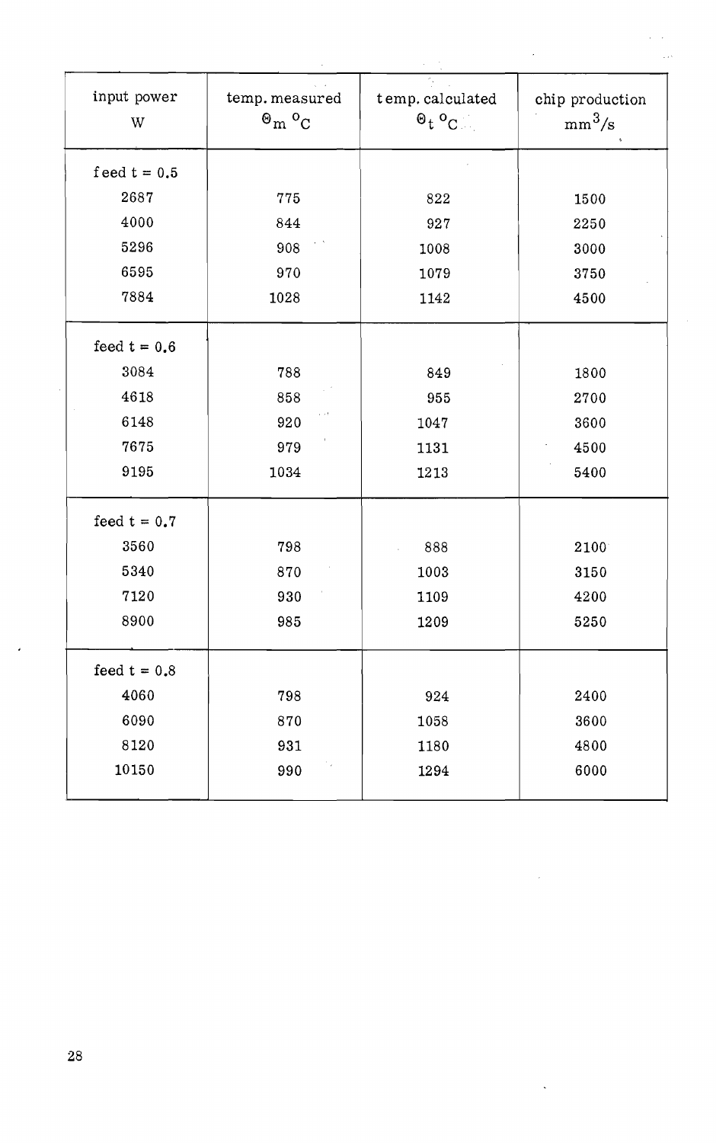| input power<br>W | temp. measured<br>$\mathbf{e}_{m}$ $\mathbf{e}_{c}$ | t emp. calculated<br>$0_t 0_C$ | chip production<br>$mm^3/s$ |
|------------------|-----------------------------------------------------|--------------------------------|-----------------------------|
| feed $t = 0.5$   |                                                     |                                |                             |
| 2687             | 775                                                 | 822                            | 1500                        |
| 4000             | 844                                                 | 927                            | 2250                        |
| 5296             | 908                                                 | 1008                           | 3000                        |
| 6595             | 970                                                 | 1079                           | 3750                        |
| 7884             | 1028                                                | 1142                           | 4500                        |
| feed $t = 0.6$   |                                                     |                                |                             |
| 3084             | 788                                                 | 849                            | 1800                        |
| 4618             | 858                                                 | 955                            | 2700                        |
| 6148             | r et<br>920                                         | 1047                           | 3600                        |
| 7675             | 979                                                 | 1131                           | 4500                        |
| 9195             | 1034                                                | 1213                           | 5400                        |
| feed $t = 0.7$   |                                                     |                                |                             |
| 3560             | 798                                                 | 888                            | 2100                        |
| 5340             | 870                                                 | 1003                           | 3150                        |
| 7120             | 930                                                 | 1109                           | 4200                        |
| 8900             | 985                                                 | 1209                           | 5250                        |
| feed $t = 0.8$   |                                                     |                                |                             |
| 4060             | 798                                                 | 924                            | 2400                        |
| 6090             | 870                                                 | 1058                           | 3600                        |
| 8120             | 931                                                 | 1180                           | 4800                        |
| 10150            | 990                                                 | 1294                           | 6000                        |
|                  |                                                     |                                |                             |

 $\overline{a}$ 

 $\ddot{\phantom{0}}$ 

 $\ddot{\phantom{0}}$ 

 $\ddot{\phantom{0}}$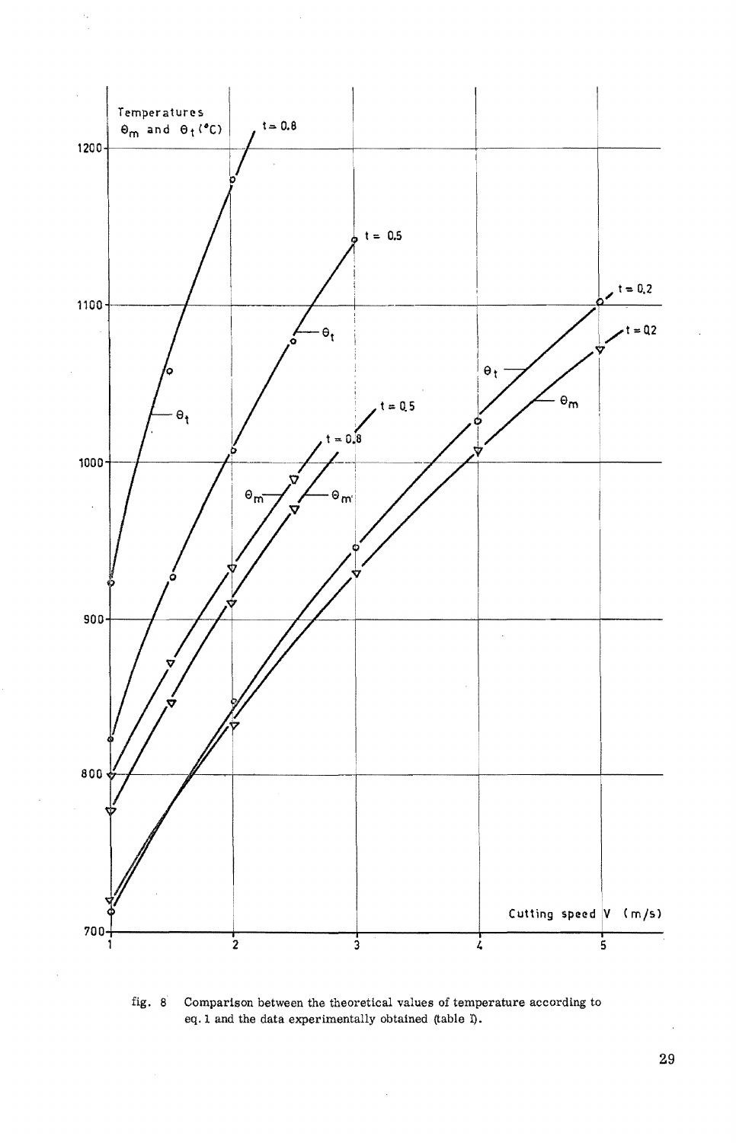

fig. 8 Comparison between the theoretical values of temperature according to eq.l and the data experimentally obtained (table I).

 $\bar{z}$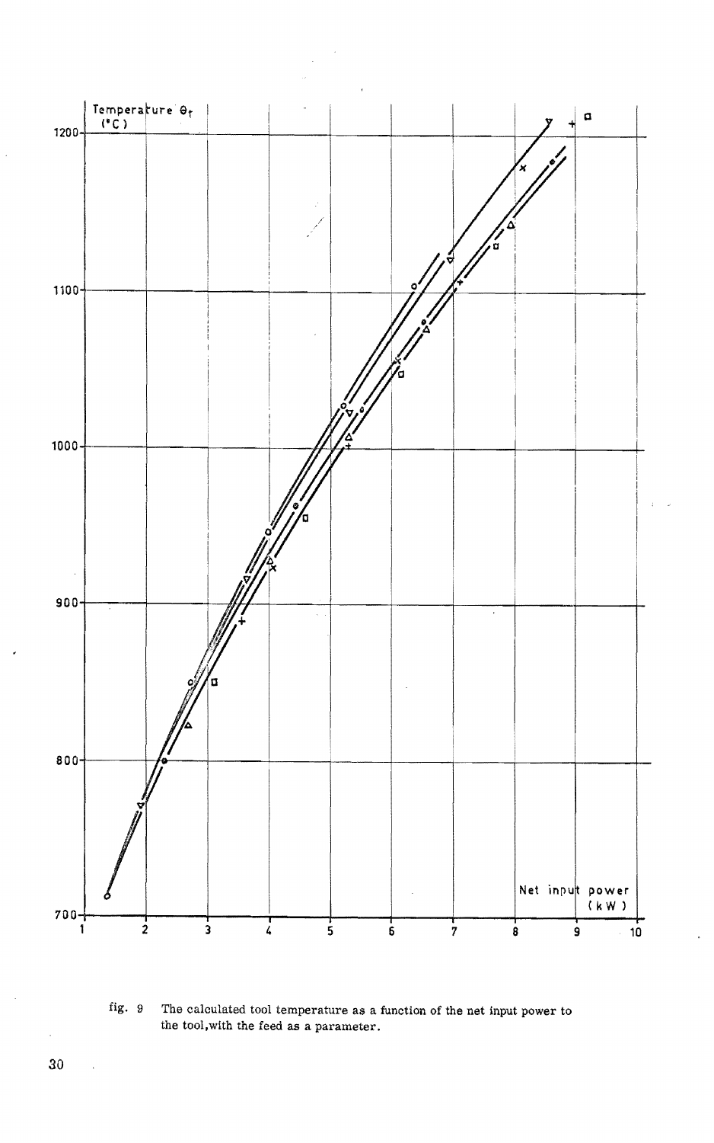

fig. 9 The calculated tool temperature as a function of the net input power to the tool,with the feed as a parameter.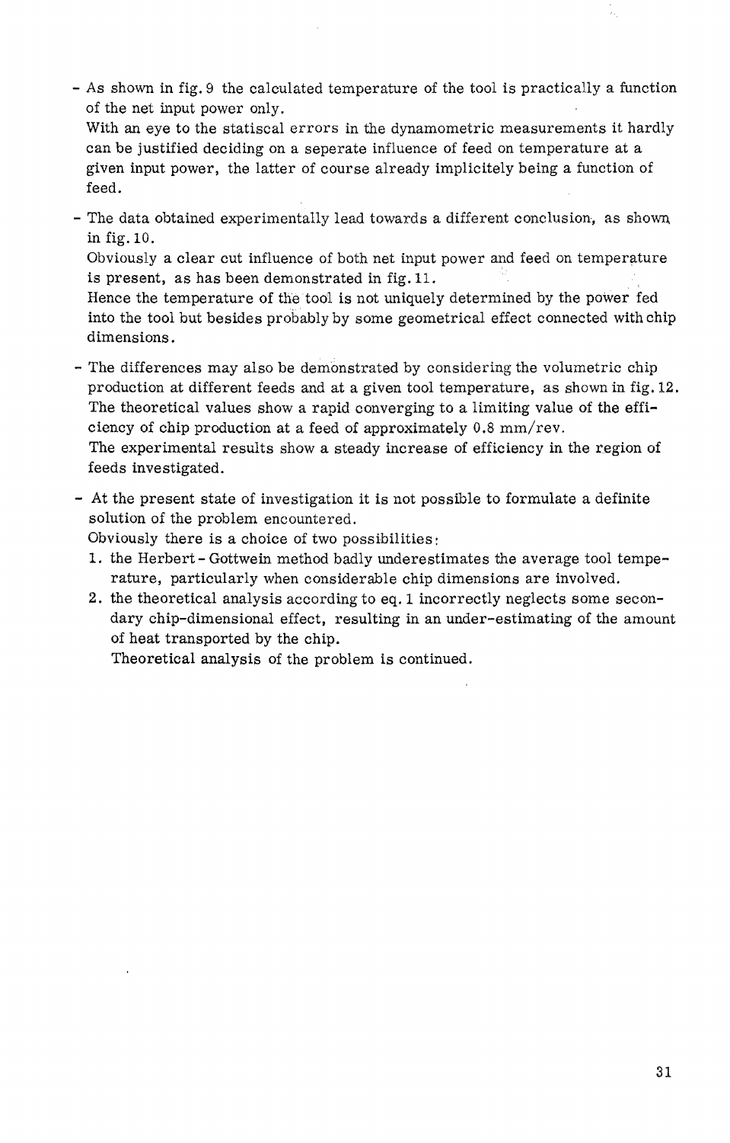- As shown in fig. 9 the calculated temperature of the tool is practically a function of the net input power only.

With an eye to the statiscal errors in the dynamometric measurements it hardly can be justified deciding on a seperate influence of feed on temperature at a given input power, the latter of course already implicitely being a function of feed.

- The data obtained experimentally lead towards a different conclusion, as shown. in fig. 10.

Obviously a clear cut influence of both net input power and feed on temperature is present, as has been demonstrated in fig.1L

Hence the temperature of the tool is not uniquely determined by the power fed into the tool but besides probably by some geometrical effect connected with chip dimensions.

- The differences may also be demonstrated by considering the volumetric chip production at different feeds and at a given tool temperature, as shown in fig. 12. The theoretical values show a rapid converging to a limiting value of the efficiency of chip production at a feed of approximately 0.8 mm/rev. The experimental results show a steady increase of efficiency in the region of feeds investigated.
- At the present state of investigation it is not possible to formulate a definite solution of the problem encountered.

Obviously there is a choice of two possibilities:

- 1. the Herbert Gottwein method badly underestimates the average tool temperature, particularly when considerable chip dimensions are involved.
- 2. the theoretical analysis according to eq. 1 incorrectly neglects some secondary chip-dimensional effect, resulting in an under-estimating of the amount of heat transported by the chip.

Theoretical analysis of the problem is continued.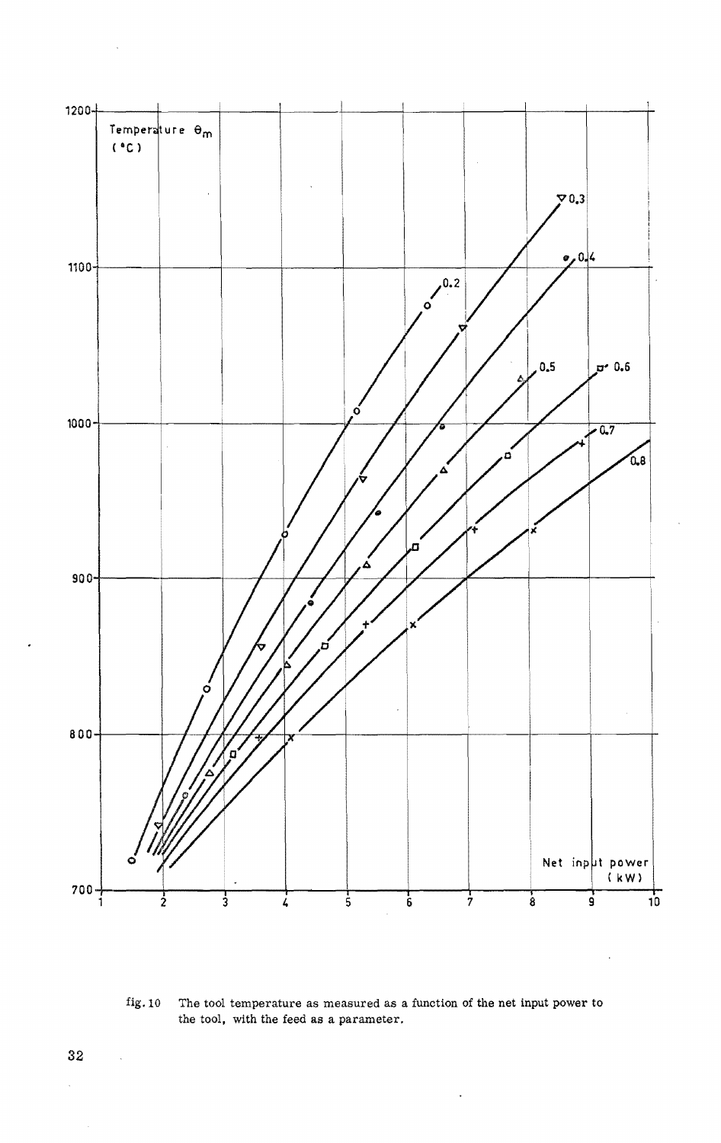

fig. 10 The tool temperature as measured as a function of the net input power to the tool, with the feed as a parameter.

 $\bar{z}$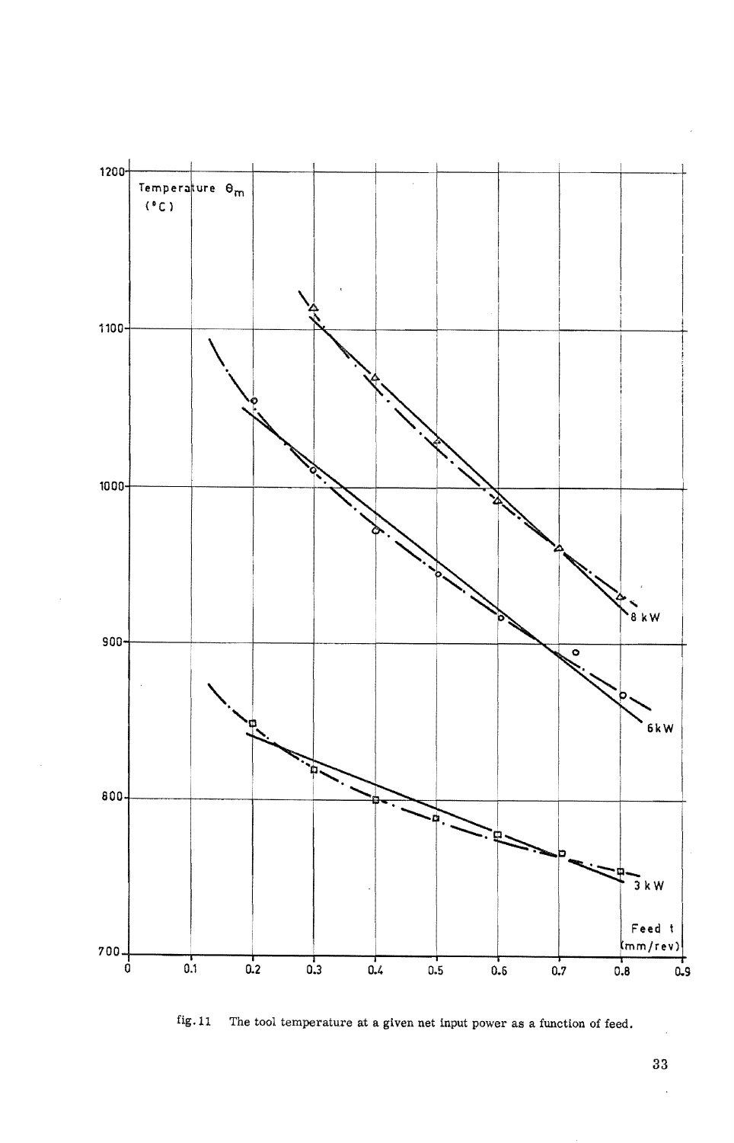

fig.ll The tool temperature at a given net input power as a function of feed.

33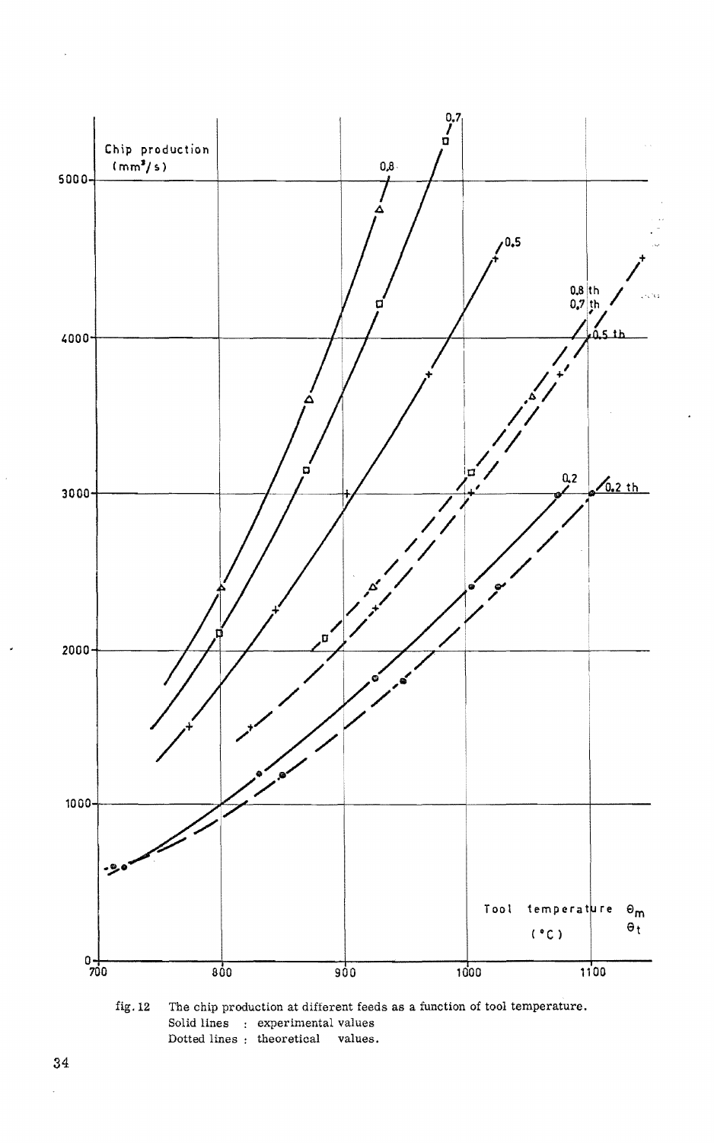